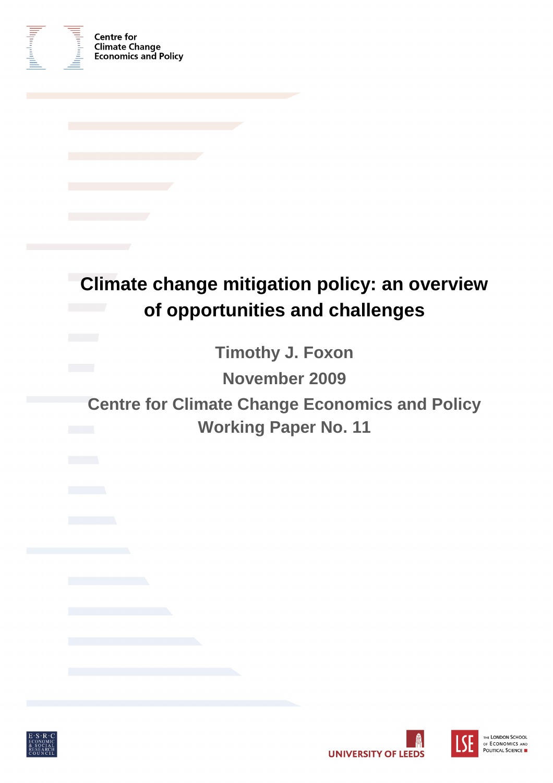

# **Climate change mitigation policy: an overview of opportunities and challenges**

**Timothy J. Foxon**

**November 2009**

## **Centre for Climate Change Economics and Policy Working Paper No. 11**







**UNIVERSITY OF LEEDS**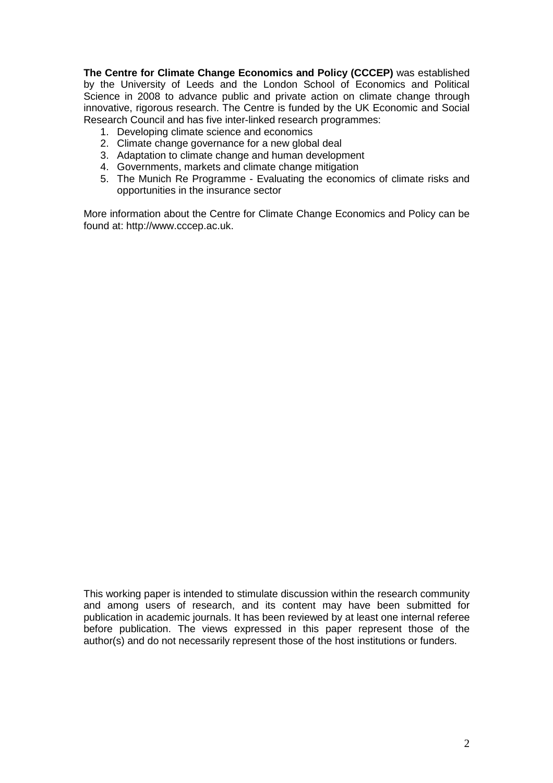**The Centre for Climate Change Economics and Policy (CCCEP)** was established by the University of Leeds and the London School of Economics and Political Science in 2008 to advance public and private action on climate change through innovative, rigorous research. The Centre is funded by the UK Economic and Social Research Council and has five inter-linked research programmes:

- 1. Developing climate science and economics
- 2. Climate change governance for a new global deal
- 3. Adaptation to climate change and human development
- 4. Governments, markets and climate change mitigation
- 5. The Munich Re Programme Evaluating the economics of climate risks and opportunities in the insurance sector

More information about the Centre for Climate Change Economics and Policy can be found at: http://www.cccep.ac.uk.

This working paper is intended to stimulate discussion within the research community and among users of research, and its content may have been submitted for publication in academic journals. It has been reviewed by at least one internal referee before publication. The views expressed in this paper represent those of the author(s) and do not necessarily represent those of the host institutions or funders.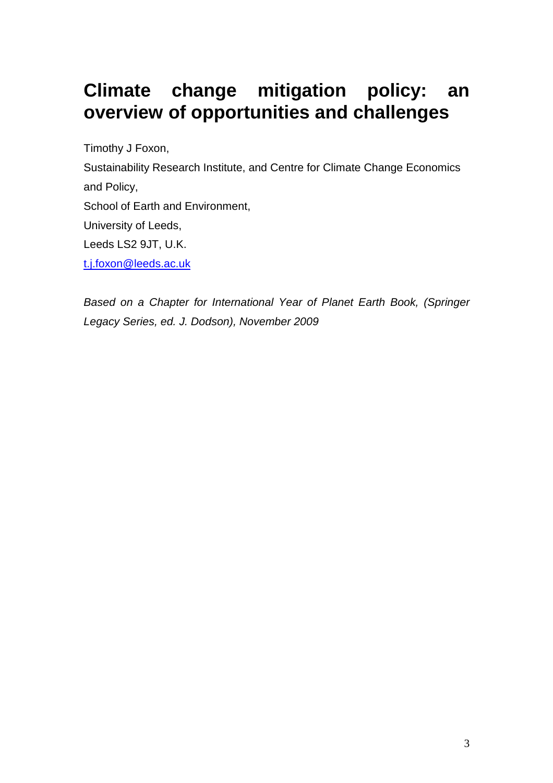## **Climate change mitigation policy: an overview of opportunities and challenges**

Timothy J Foxon,

Sustainability Research Institute, and Centre for Climate Change Economics and Policy, School of Earth and Environment, University of Leeds, Leeds LS2 9JT, U.K. t.j.foxon@leeds.ac.uk

Based on a Chapter for International Year of Planet Earth Book, (Springer Legacy Series, ed. J. Dodson), November 2009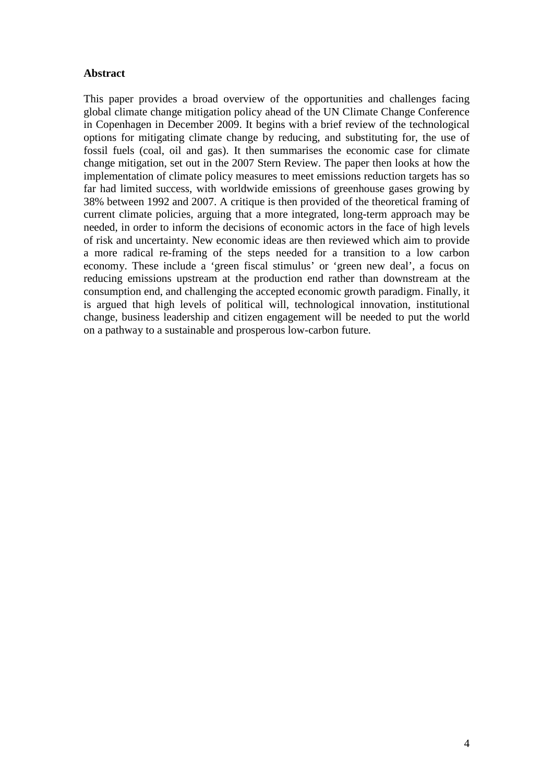### **Abstract**

This paper provides a broad overview of the opportunities and challenges facing global climate change mitigation policy ahead of the UN Climate Change Conference in Copenhagen in December 2009. It begins with a brief review of the technological options for mitigating climate change by reducing, and substituting for, the use of fossil fuels (coal, oil and gas). It then summarises the economic case for climate change mitigation, set out in the 2007 Stern Review. The paper then looks at how the implementation of climate policy measures to meet emissions reduction targets has so far had limited success, with worldwide emissions of greenhouse gases growing by 38% between 1992 and 2007. A critique is then provided of the theoretical framing of current climate policies, arguing that a more integrated, long-term approach may be needed, in order to inform the decisions of economic actors in the face of high levels of risk and uncertainty. New economic ideas are then reviewed which aim to provide a more radical re-framing of the steps needed for a transition to a low carbon economy. These include a 'green fiscal stimulus' or 'green new deal', a focus on reducing emissions upstream at the production end rather than downstream at the consumption end, and challenging the accepted economic growth paradigm. Finally, it is argued that high levels of political will, technological innovation, institutional change, business leadership and citizen engagement will be needed to put the world on a pathway to a sustainable and prosperous low-carbon future.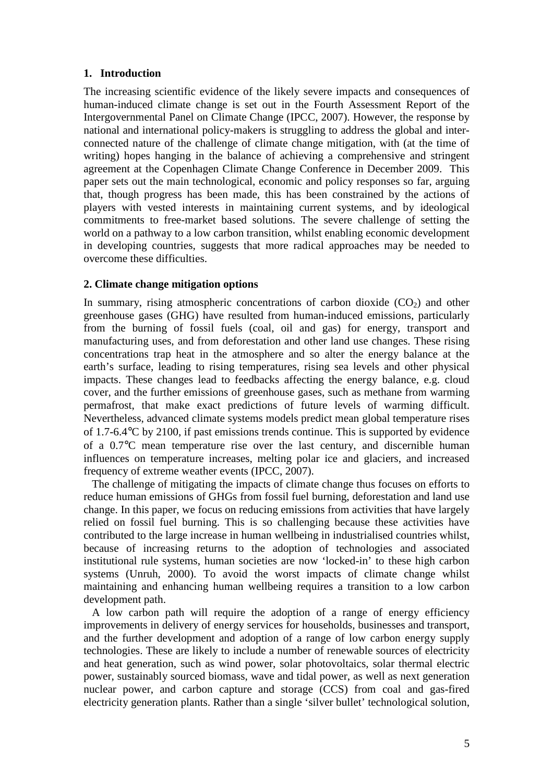#### **1. Introduction**

The increasing scientific evidence of the likely severe impacts and consequences of human-induced climate change is set out in the Fourth Assessment Report of the Intergovernmental Panel on Climate Change (IPCC, 2007). However, the response by national and international policy-makers is struggling to address the global and interconnected nature of the challenge of climate change mitigation, with (at the time of writing) hopes hanging in the balance of achieving a comprehensive and stringent agreement at the Copenhagen Climate Change Conference in December 2009. This paper sets out the main technological, economic and policy responses so far, arguing that, though progress has been made, this has been constrained by the actions of players with vested interests in maintaining current systems, and by ideological commitments to free-market based solutions. The severe challenge of setting the world on a pathway to a low carbon transition, whilst enabling economic development in developing countries, suggests that more radical approaches may be needed to overcome these difficulties.

### **2. Climate change mitigation options**

In summary, rising atmospheric concentrations of carbon dioxide  $(CO<sub>2</sub>)$  and other greenhouse gases (GHG) have resulted from human-induced emissions, particularly from the burning of fossil fuels (coal, oil and gas) for energy, transport and manufacturing uses, and from deforestation and other land use changes. These rising concentrations trap heat in the atmosphere and so alter the energy balance at the earth's surface, leading to rising temperatures, rising sea levels and other physical impacts. These changes lead to feedbacks affecting the energy balance, e.g. cloud cover, and the further emissions of greenhouse gases, such as methane from warming permafrost, that make exact predictions of future levels of warming difficult. Nevertheless, advanced climate systems models predict mean global temperature rises of 1.7-6.4°C by 2100, if past emissions trends continue. This is supported by evidence of a 0.7°C mean temperature rise over the last century, and discernible human influences on temperature increases, melting polar ice and glaciers, and increased frequency of extreme weather events (IPCC, 2007).

The challenge of mitigating the impacts of climate change thus focuses on efforts to reduce human emissions of GHGs from fossil fuel burning, deforestation and land use change. In this paper, we focus on reducing emissions from activities that have largely relied on fossil fuel burning. This is so challenging because these activities have contributed to the large increase in human wellbeing in industrialised countries whilst, because of increasing returns to the adoption of technologies and associated institutional rule systems, human societies are now 'locked-in' to these high carbon systems (Unruh, 2000). To avoid the worst impacts of climate change whilst maintaining and enhancing human wellbeing requires a transition to a low carbon development path.

A low carbon path will require the adoption of a range of energy efficiency improvements in delivery of energy services for households, businesses and transport, and the further development and adoption of a range of low carbon energy supply technologies. These are likely to include a number of renewable sources of electricity and heat generation, such as wind power, solar photovoltaics, solar thermal electric power, sustainably sourced biomass, wave and tidal power, as well as next generation nuclear power, and carbon capture and storage (CCS) from coal and gas-fired electricity generation plants. Rather than a single 'silver bullet' technological solution,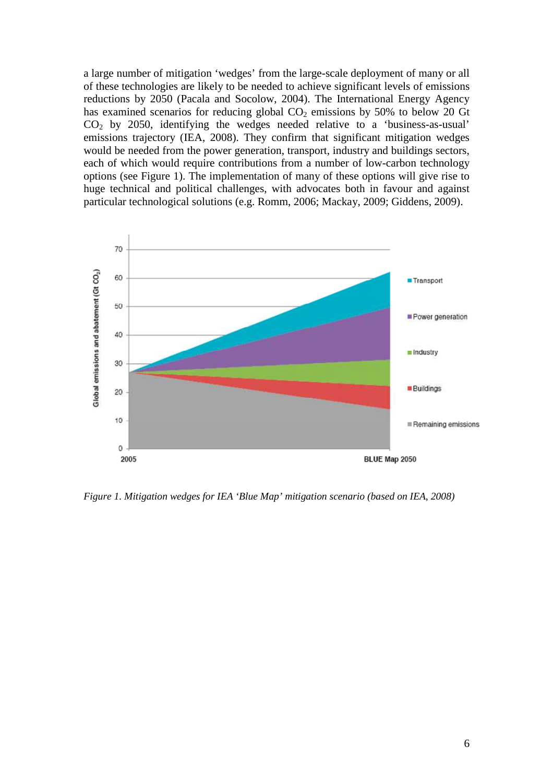a large number of mitigation 'wedges' from the large-scale deployment of many or all of these technologies are likely to be needed to achieve significant levels of emissions reductions by 2050 (Pacala and Socolow, 2004). The International Energy Agency has examined scenarios for reducing global  $CO<sub>2</sub>$  emissions by 50% to below 20 Gt  $CO<sub>2</sub>$  by 2050, identifying the wedges needed relative to a 'business-as-usual' emissions trajectory (IEA, 2008). They confirm that significant mitigation wedges would be needed from the power generation, transport, industry and buildings sectors, each of which would require contributions from a number of low-carbon technology options (see Figure 1). The implementation of many of these options will give rise to huge technical and political challenges, with advocates both in favour and against particular technological solutions (e.g. Romm, 2006; Mackay, 2009; Giddens, 2009).



*Figure 1. Mitigation wedges for IEA 'Blue Map' mitigation scenario (based on IEA, 2008)*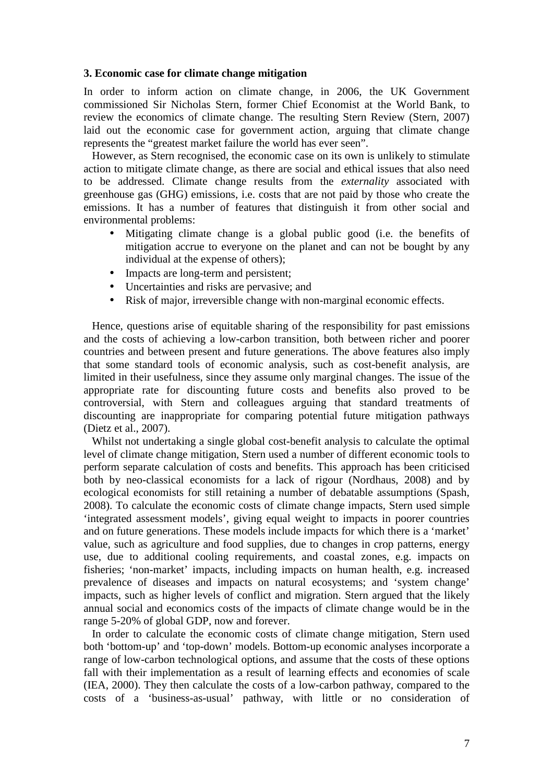#### **3. Economic case for climate change mitigation**

In order to inform action on climate change, in 2006, the UK Government commissioned Sir Nicholas Stern, former Chief Economist at the World Bank, to review the economics of climate change. The resulting Stern Review (Stern, 2007) laid out the economic case for government action, arguing that climate change represents the "greatest market failure the world has ever seen".

However, as Stern recognised, the economic case on its own is unlikely to stimulate action to mitigate climate change, as there are social and ethical issues that also need to be addressed. Climate change results from the *externality* associated with greenhouse gas (GHG) emissions, i.e. costs that are not paid by those who create the emissions. It has a number of features that distinguish it from other social and environmental problems:

- Mitigating climate change is a global public good (i.e. the benefits of mitigation accrue to everyone on the planet and can not be bought by any individual at the expense of others);
- Impacts are long-term and persistent;
- Uncertainties and risks are pervasive; and
- Risk of major, irreversible change with non-marginal economic effects.

Hence, questions arise of equitable sharing of the responsibility for past emissions and the costs of achieving a low-carbon transition, both between richer and poorer countries and between present and future generations. The above features also imply that some standard tools of economic analysis, such as cost-benefit analysis, are limited in their usefulness, since they assume only marginal changes. The issue of the appropriate rate for discounting future costs and benefits also proved to be controversial, with Stern and colleagues arguing that standard treatments of discounting are inappropriate for comparing potential future mitigation pathways (Dietz et al., 2007).

Whilst not undertaking a single global cost-benefit analysis to calculate the optimal level of climate change mitigation, Stern used a number of different economic tools to perform separate calculation of costs and benefits. This approach has been criticised both by neo-classical economists for a lack of rigour (Nordhaus, 2008) and by ecological economists for still retaining a number of debatable assumptions (Spash, 2008). To calculate the economic costs of climate change impacts, Stern used simple 'integrated assessment models', giving equal weight to impacts in poorer countries and on future generations. These models include impacts for which there is a 'market' value, such as agriculture and food supplies, due to changes in crop patterns, energy use, due to additional cooling requirements, and coastal zones, e.g. impacts on fisheries; 'non-market' impacts, including impacts on human health, e.g. increased prevalence of diseases and impacts on natural ecosystems; and 'system change' impacts, such as higher levels of conflict and migration. Stern argued that the likely annual social and economics costs of the impacts of climate change would be in the range 5-20% of global GDP, now and forever.

In order to calculate the economic costs of climate change mitigation, Stern used both 'bottom-up' and 'top-down' models. Bottom-up economic analyses incorporate a range of low-carbon technological options, and assume that the costs of these options fall with their implementation as a result of learning effects and economies of scale (IEA, 2000). They then calculate the costs of a low-carbon pathway, compared to the costs of a 'business-as-usual' pathway, with little or no consideration of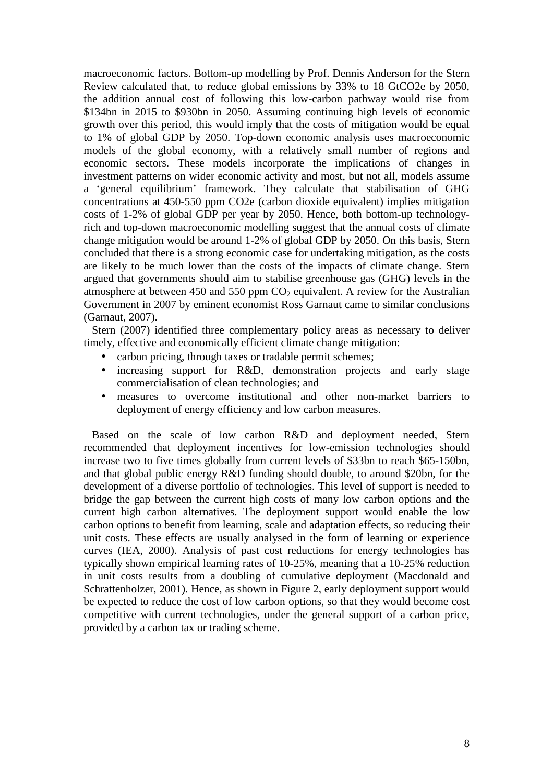macroeconomic factors. Bottom-up modelling by Prof. Dennis Anderson for the Stern Review calculated that, to reduce global emissions by 33% to 18 GtCO2e by 2050, the addition annual cost of following this low-carbon pathway would rise from \$134bn in 2015 to \$930bn in 2050. Assuming continuing high levels of economic growth over this period, this would imply that the costs of mitigation would be equal to 1% of global GDP by 2050. Top-down economic analysis uses macroeconomic models of the global economy, with a relatively small number of regions and economic sectors. These models incorporate the implications of changes in investment patterns on wider economic activity and most, but not all, models assume a 'general equilibrium' framework. They calculate that stabilisation of GHG concentrations at 450-550 ppm CO2e (carbon dioxide equivalent) implies mitigation costs of 1-2% of global GDP per year by 2050. Hence, both bottom-up technologyrich and top-down macroeconomic modelling suggest that the annual costs of climate change mitigation would be around 1-2% of global GDP by 2050. On this basis, Stern concluded that there is a strong economic case for undertaking mitigation, as the costs are likely to be much lower than the costs of the impacts of climate change. Stern argued that governments should aim to stabilise greenhouse gas (GHG) levels in the atmosphere at between 450 and 550 ppm  $CO<sub>2</sub>$  equivalent. A review for the Australian Government in 2007 by eminent economist Ross Garnaut came to similar conclusions (Garnaut, 2007).

Stern (2007) identified three complementary policy areas as necessary to deliver timely, effective and economically efficient climate change mitigation:

- carbon pricing, through taxes or tradable permit schemes;
- increasing support for R&D, demonstration projects and early stage commercialisation of clean technologies; and
- measures to overcome institutional and other non-market barriers to deployment of energy efficiency and low carbon measures.

Based on the scale of low carbon R&D and deployment needed, Stern recommended that deployment incentives for low-emission technologies should increase two to five times globally from current levels of \$33bn to reach \$65-150bn, and that global public energy R&D funding should double, to around \$20bn, for the development of a diverse portfolio of technologies. This level of support is needed to bridge the gap between the current high costs of many low carbon options and the current high carbon alternatives. The deployment support would enable the low carbon options to benefit from learning, scale and adaptation effects, so reducing their unit costs. These effects are usually analysed in the form of learning or experience curves (IEA, 2000). Analysis of past cost reductions for energy technologies has typically shown empirical learning rates of 10-25%, meaning that a 10-25% reduction in unit costs results from a doubling of cumulative deployment (Macdonald and Schrattenholzer, 2001). Hence, as shown in Figure 2, early deployment support would be expected to reduce the cost of low carbon options, so that they would become cost competitive with current technologies, under the general support of a carbon price, provided by a carbon tax or trading scheme.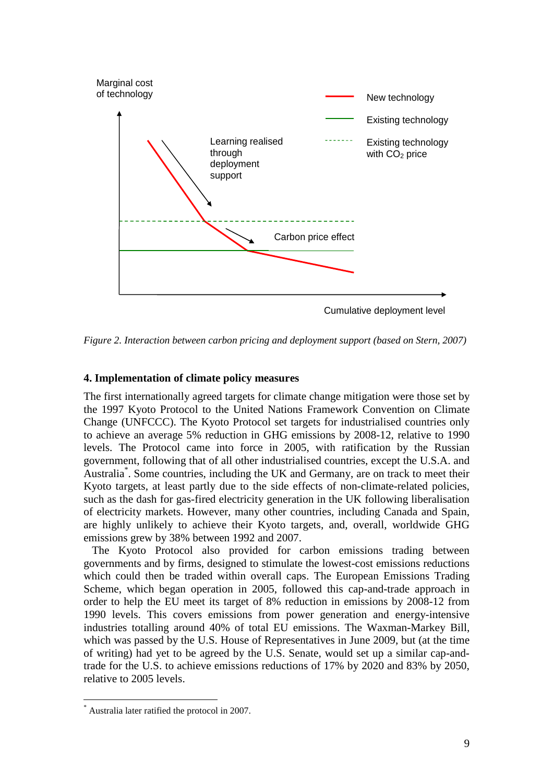

*Figure 2. Interaction between carbon pricing and deployment support (based on Stern, 2007)* 

## **4. Implementation of climate policy measures**

The first internationally agreed targets for climate change mitigation were those set by the 1997 Kyoto Protocol to the United Nations Framework Convention on Climate Change (UNFCCC). The Kyoto Protocol set targets for industrialised countries only to achieve an average 5% reduction in GHG emissions by 2008-12, relative to 1990 levels. The Protocol came into force in 2005, with ratification by the Russian government, following that of all other industrialised countries, except the U.S.A. and Australia\* . Some countries, including the UK and Germany, are on track to meet their Kyoto targets, at least partly due to the side effects of non-climate-related policies, such as the dash for gas-fired electricity generation in the UK following liberalisation of electricity markets. However, many other countries, including Canada and Spain, are highly unlikely to achieve their Kyoto targets, and, overall, worldwide GHG emissions grew by 38% between 1992 and 2007.

The Kyoto Protocol also provided for carbon emissions trading between governments and by firms, designed to stimulate the lowest-cost emissions reductions which could then be traded within overall caps. The European Emissions Trading Scheme, which began operation in 2005, followed this cap-and-trade approach in order to help the EU meet its target of 8% reduction in emissions by 2008-12 from 1990 levels. This covers emissions from power generation and energy-intensive industries totalling around 40% of total EU emissions. The Waxman-Markey Bill, which was passed by the U.S. House of Representatives in June 2009, but (at the time of writing) had yet to be agreed by the U.S. Senate, would set up a similar cap-andtrade for the U.S. to achieve emissions reductions of 17% by 2020 and 83% by 2050, relative to 2005 levels.

 $\overline{a}$ 

<sup>\*</sup> Australia later ratified the protocol in 2007.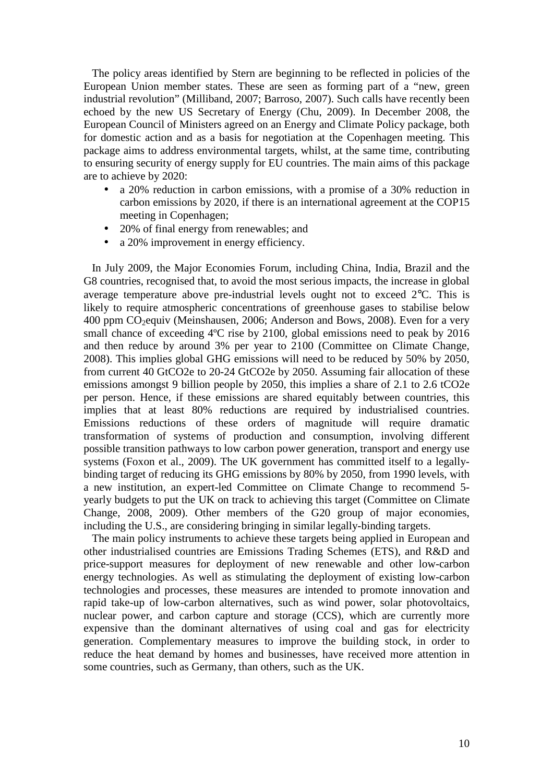The policy areas identified by Stern are beginning to be reflected in policies of the European Union member states. These are seen as forming part of a "new, green industrial revolution" (Milliband, 2007; Barroso, 2007). Such calls have recently been echoed by the new US Secretary of Energy (Chu, 2009). In December 2008, the European Council of Ministers agreed on an Energy and Climate Policy package, both for domestic action and as a basis for negotiation at the Copenhagen meeting. This package aims to address environmental targets, whilst, at the same time, contributing to ensuring security of energy supply for EU countries. The main aims of this package are to achieve by 2020:

- a 20% reduction in carbon emissions, with a promise of a 30% reduction in carbon emissions by 2020, if there is an international agreement at the COP15 meeting in Copenhagen;
- 20% of final energy from renewables; and
- a 20% improvement in energy efficiency.

In July 2009, the Major Economies Forum, including China, India, Brazil and the G8 countries, recognised that, to avoid the most serious impacts, the increase in global average temperature above pre-industrial levels ought not to exceed 2°C. This is likely to require atmospheric concentrations of greenhouse gases to stabilise below  $400$  ppm CO<sub>2</sub> equiv (Meinshausen, 2006; Anderson and Bows, 2008). Even for a very small chance of exceeding 4°C rise by 2100, global emissions need to peak by 2016 and then reduce by around 3% per year to 2100 (Committee on Climate Change, 2008). This implies global GHG emissions will need to be reduced by 50% by 2050, from current 40 GtCO2e to 20-24 GtCO2e by 2050. Assuming fair allocation of these emissions amongst 9 billion people by 2050, this implies a share of 2.1 to 2.6 tCO2e per person. Hence, if these emissions are shared equitably between countries, this implies that at least 80% reductions are required by industrialised countries. Emissions reductions of these orders of magnitude will require dramatic transformation of systems of production and consumption, involving different possible transition pathways to low carbon power generation, transport and energy use systems (Foxon et al., 2009). The UK government has committed itself to a legallybinding target of reducing its GHG emissions by 80% by 2050, from 1990 levels, with a new institution, an expert-led Committee on Climate Change to recommend 5 yearly budgets to put the UK on track to achieving this target (Committee on Climate Change, 2008, 2009). Other members of the G20 group of major economies, including the U.S., are considering bringing in similar legally-binding targets.

The main policy instruments to achieve these targets being applied in European and other industrialised countries are Emissions Trading Schemes (ETS), and R&D and price-support measures for deployment of new renewable and other low-carbon energy technologies. As well as stimulating the deployment of existing low-carbon technologies and processes, these measures are intended to promote innovation and rapid take-up of low-carbon alternatives, such as wind power, solar photovoltaics, nuclear power, and carbon capture and storage (CCS), which are currently more expensive than the dominant alternatives of using coal and gas for electricity generation. Complementary measures to improve the building stock, in order to reduce the heat demand by homes and businesses, have received more attention in some countries, such as Germany, than others, such as the UK.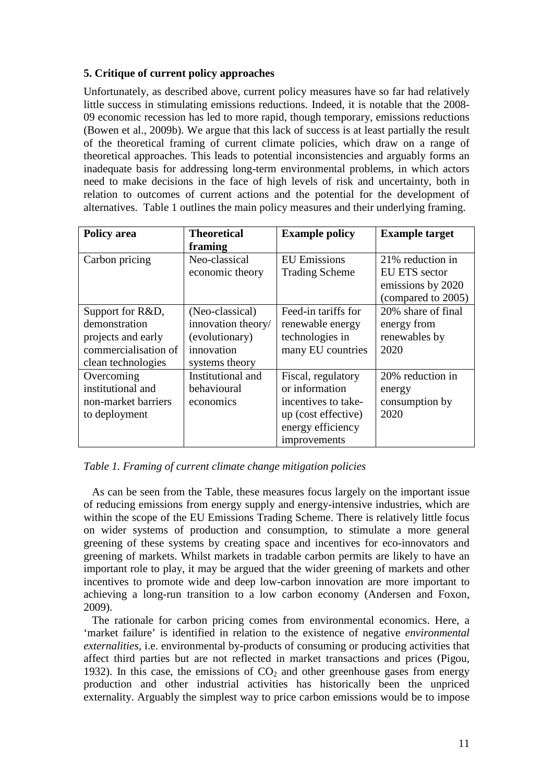## **5. Critique of current policy approaches**

Unfortunately, as described above, current policy measures have so far had relatively little success in stimulating emissions reductions. Indeed, it is notable that the 2008- 09 economic recession has led to more rapid, though temporary, emissions reductions (Bowen et al., 2009b). We argue that this lack of success is at least partially the result of the theoretical framing of current climate policies, which draw on a range of theoretical approaches. This leads to potential inconsistencies and arguably forms an inadequate basis for addressing long-term environmental problems, in which actors need to make decisions in the face of high levels of risk and uncertainty, both in relation to outcomes of current actions and the potential for the development of alternatives. Table 1 outlines the main policy measures and their underlying framing.

| <b>Policy area</b>   | <b>Theoretical</b> | <b>Example policy</b> | <b>Example target</b> |
|----------------------|--------------------|-----------------------|-----------------------|
|                      | framing            |                       |                       |
| Carbon pricing       | Neo-classical      | <b>EU</b> Emissions   | 21% reduction in      |
|                      | economic theory    | <b>Trading Scheme</b> | <b>EU ETS</b> sector  |
|                      |                    |                       | emissions by 2020     |
|                      |                    |                       | (compared to 2005)    |
| Support for R&D,     | (Neo-classical)    | Feed-in tariffs for   | 20% share of final    |
| demonstration        | innovation theory/ | renewable energy      | energy from           |
| projects and early   | (evolutionary)     | technologies in       | renewables by         |
| commercialisation of | innovation         | many EU countries     | 2020                  |
| clean technologies   | systems theory     |                       |                       |
| Overcoming           | Institutional and  | Fiscal, regulatory    | 20% reduction in      |
| institutional and    | behavioural        | or information        | energy                |
| non-market barriers  | economics          | incentives to take-   | consumption by        |
| to deployment        |                    | up (cost effective)   | 2020                  |
|                      |                    | energy efficiency     |                       |
|                      |                    | improvements          |                       |

## *Table 1. Framing of current climate change mitigation policies*

As can be seen from the Table, these measures focus largely on the important issue of reducing emissions from energy supply and energy-intensive industries, which are within the scope of the EU Emissions Trading Scheme. There is relatively little focus on wider systems of production and consumption, to stimulate a more general greening of these systems by creating space and incentives for eco-innovators and greening of markets. Whilst markets in tradable carbon permits are likely to have an important role to play, it may be argued that the wider greening of markets and other incentives to promote wide and deep low-carbon innovation are more important to achieving a long-run transition to a low carbon economy (Andersen and Foxon, 2009).

The rationale for carbon pricing comes from environmental economics. Here, a 'market failure' is identified in relation to the existence of negative *environmental externalities,* i.e. environmental by-products of consuming or producing activities that affect third parties but are not reflected in market transactions and prices (Pigou, 1932). In this case, the emissions of  $CO<sub>2</sub>$  and other greenhouse gases from energy production and other industrial activities has historically been the unpriced externality. Arguably the simplest way to price carbon emissions would be to impose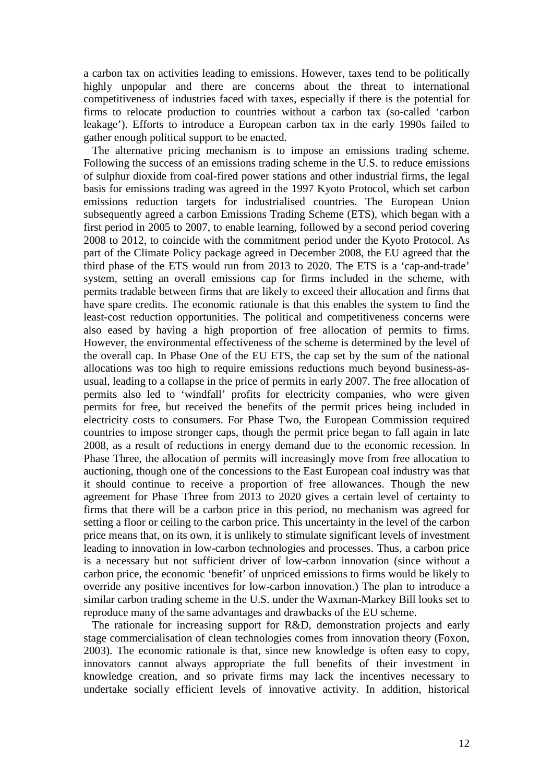a carbon tax on activities leading to emissions. However, taxes tend to be politically highly unpopular and there are concerns about the threat to international competitiveness of industries faced with taxes, especially if there is the potential for firms to relocate production to countries without a carbon tax (so-called 'carbon leakage'). Efforts to introduce a European carbon tax in the early 1990s failed to gather enough political support to be enacted.

The alternative pricing mechanism is to impose an emissions trading scheme. Following the success of an emissions trading scheme in the U.S. to reduce emissions of sulphur dioxide from coal-fired power stations and other industrial firms, the legal basis for emissions trading was agreed in the 1997 Kyoto Protocol, which set carbon emissions reduction targets for industrialised countries. The European Union subsequently agreed a carbon Emissions Trading Scheme (ETS), which began with a first period in 2005 to 2007, to enable learning, followed by a second period covering 2008 to 2012, to coincide with the commitment period under the Kyoto Protocol. As part of the Climate Policy package agreed in December 2008, the EU agreed that the third phase of the ETS would run from 2013 to 2020. The ETS is a 'cap-and-trade' system, setting an overall emissions cap for firms included in the scheme, with permits tradable between firms that are likely to exceed their allocation and firms that have spare credits. The economic rationale is that this enables the system to find the least-cost reduction opportunities. The political and competitiveness concerns were also eased by having a high proportion of free allocation of permits to firms. However, the environmental effectiveness of the scheme is determined by the level of the overall cap. In Phase One of the EU ETS, the cap set by the sum of the national allocations was too high to require emissions reductions much beyond business-asusual, leading to a collapse in the price of permits in early 2007. The free allocation of permits also led to 'windfall' profits for electricity companies, who were given permits for free, but received the benefits of the permit prices being included in electricity costs to consumers. For Phase Two, the European Commission required countries to impose stronger caps, though the permit price began to fall again in late 2008, as a result of reductions in energy demand due to the economic recession. In Phase Three, the allocation of permits will increasingly move from free allocation to auctioning, though one of the concessions to the East European coal industry was that it should continue to receive a proportion of free allowances. Though the new agreement for Phase Three from 2013 to 2020 gives a certain level of certainty to firms that there will be a carbon price in this period, no mechanism was agreed for setting a floor or ceiling to the carbon price. This uncertainty in the level of the carbon price means that, on its own, it is unlikely to stimulate significant levels of investment leading to innovation in low-carbon technologies and processes. Thus, a carbon price is a necessary but not sufficient driver of low-carbon innovation (since without a carbon price, the economic 'benefit' of unpriced emissions to firms would be likely to override any positive incentives for low-carbon innovation.) The plan to introduce a similar carbon trading scheme in the U.S. under the Waxman-Markey Bill looks set to reproduce many of the same advantages and drawbacks of the EU scheme.

The rationale for increasing support for R&D, demonstration projects and early stage commercialisation of clean technologies comes from innovation theory (Foxon, 2003). The economic rationale is that, since new knowledge is often easy to copy, innovators cannot always appropriate the full benefits of their investment in knowledge creation, and so private firms may lack the incentives necessary to undertake socially efficient levels of innovative activity. In addition, historical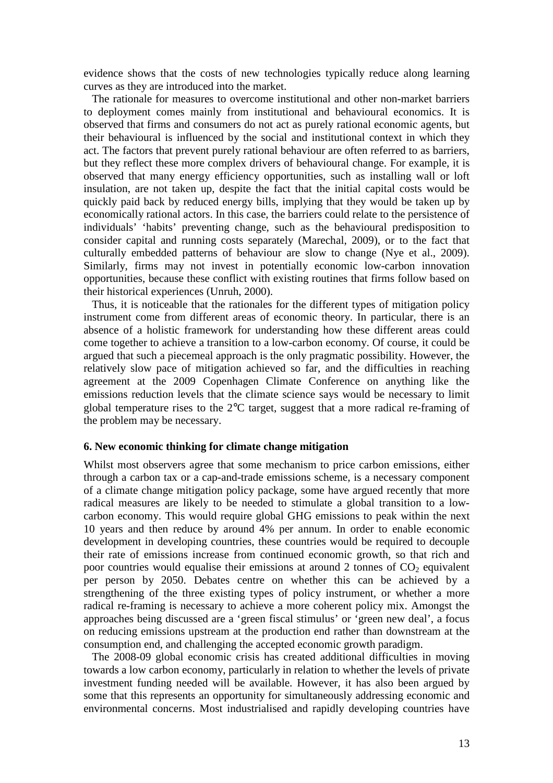evidence shows that the costs of new technologies typically reduce along learning curves as they are introduced into the market.

The rationale for measures to overcome institutional and other non-market barriers to deployment comes mainly from institutional and behavioural economics. It is observed that firms and consumers do not act as purely rational economic agents, but their behavioural is influenced by the social and institutional context in which they act. The factors that prevent purely rational behaviour are often referred to as barriers, but they reflect these more complex drivers of behavioural change. For example, it is observed that many energy efficiency opportunities, such as installing wall or loft insulation, are not taken up, despite the fact that the initial capital costs would be quickly paid back by reduced energy bills, implying that they would be taken up by economically rational actors. In this case, the barriers could relate to the persistence of individuals' 'habits' preventing change, such as the behavioural predisposition to consider capital and running costs separately (Marechal, 2009), or to the fact that culturally embedded patterns of behaviour are slow to change (Nye et al., 2009). Similarly, firms may not invest in potentially economic low-carbon innovation opportunities, because these conflict with existing routines that firms follow based on their historical experiences (Unruh, 2000).

Thus, it is noticeable that the rationales for the different types of mitigation policy instrument come from different areas of economic theory. In particular, there is an absence of a holistic framework for understanding how these different areas could come together to achieve a transition to a low-carbon economy. Of course, it could be argued that such a piecemeal approach is the only pragmatic possibility. However, the relatively slow pace of mitigation achieved so far, and the difficulties in reaching agreement at the 2009 Copenhagen Climate Conference on anything like the emissions reduction levels that the climate science says would be necessary to limit global temperature rises to the 2°C target, suggest that a more radical re-framing of the problem may be necessary.

#### **6. New economic thinking for climate change mitigation**

Whilst most observers agree that some mechanism to price carbon emissions, either through a carbon tax or a cap-and-trade emissions scheme, is a necessary component of a climate change mitigation policy package, some have argued recently that more radical measures are likely to be needed to stimulate a global transition to a lowcarbon economy. This would require global GHG emissions to peak within the next 10 years and then reduce by around 4% per annum. In order to enable economic development in developing countries, these countries would be required to decouple their rate of emissions increase from continued economic growth, so that rich and poor countries would equalise their emissions at around 2 tonnes of  $CO<sub>2</sub>$  equivalent per person by 2050. Debates centre on whether this can be achieved by a strengthening of the three existing types of policy instrument, or whether a more radical re-framing is necessary to achieve a more coherent policy mix. Amongst the approaches being discussed are a 'green fiscal stimulus' or 'green new deal', a focus on reducing emissions upstream at the production end rather than downstream at the consumption end, and challenging the accepted economic growth paradigm.

The 2008-09 global economic crisis has created additional difficulties in moving towards a low carbon economy, particularly in relation to whether the levels of private investment funding needed will be available. However, it has also been argued by some that this represents an opportunity for simultaneously addressing economic and environmental concerns. Most industrialised and rapidly developing countries have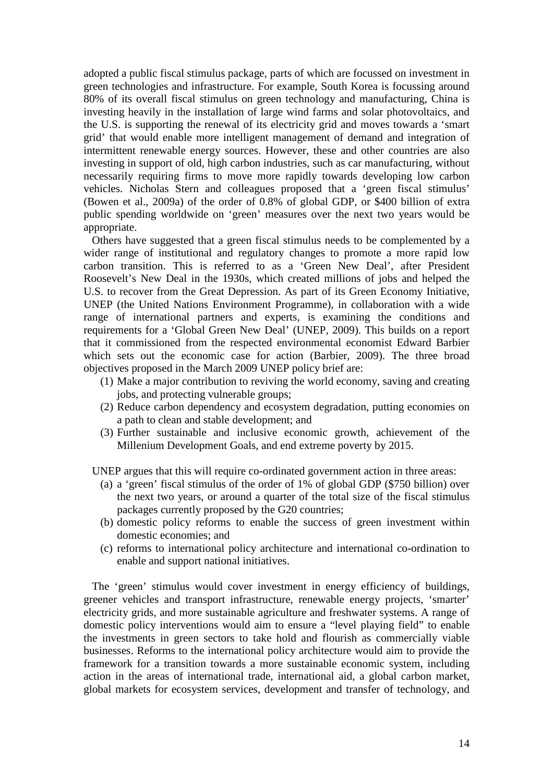adopted a public fiscal stimulus package, parts of which are focussed on investment in green technologies and infrastructure. For example, South Korea is focussing around 80% of its overall fiscal stimulus on green technology and manufacturing, China is investing heavily in the installation of large wind farms and solar photovoltaics, and the U.S. is supporting the renewal of its electricity grid and moves towards a 'smart grid' that would enable more intelligent management of demand and integration of intermittent renewable energy sources. However, these and other countries are also investing in support of old, high carbon industries, such as car manufacturing, without necessarily requiring firms to move more rapidly towards developing low carbon vehicles. Nicholas Stern and colleagues proposed that a 'green fiscal stimulus' (Bowen et al., 2009a) of the order of 0.8% of global GDP, or \$400 billion of extra public spending worldwide on 'green' measures over the next two years would be appropriate.

Others have suggested that a green fiscal stimulus needs to be complemented by a wider range of institutional and regulatory changes to promote a more rapid low carbon transition. This is referred to as a 'Green New Deal', after President Roosevelt's New Deal in the 1930s, which created millions of jobs and helped the U.S. to recover from the Great Depression. As part of its Green Economy Initiative, UNEP (the United Nations Environment Programme), in collaboration with a wide range of international partners and experts, is examining the conditions and requirements for a 'Global Green New Deal' (UNEP, 2009). This builds on a report that it commissioned from the respected environmental economist Edward Barbier which sets out the economic case for action (Barbier, 2009). The three broad objectives proposed in the March 2009 UNEP policy brief are:

- (1) Make a major contribution to reviving the world economy, saving and creating jobs, and protecting vulnerable groups;
- (2) Reduce carbon dependency and ecosystem degradation, putting economies on a path to clean and stable development; and
- (3) Further sustainable and inclusive economic growth, achievement of the Millenium Development Goals, and end extreme poverty by 2015.

UNEP argues that this will require co-ordinated government action in three areas:

- (a) a 'green' fiscal stimulus of the order of 1% of global GDP (\$750 billion) over the next two years, or around a quarter of the total size of the fiscal stimulus packages currently proposed by the G20 countries;
- (b) domestic policy reforms to enable the success of green investment within domestic economies; and
- (c) reforms to international policy architecture and international co-ordination to enable and support national initiatives.

The 'green' stimulus would cover investment in energy efficiency of buildings, greener vehicles and transport infrastructure, renewable energy projects, 'smarter' electricity grids, and more sustainable agriculture and freshwater systems. A range of domestic policy interventions would aim to ensure a "level playing field" to enable the investments in green sectors to take hold and flourish as commercially viable businesses. Reforms to the international policy architecture would aim to provide the framework for a transition towards a more sustainable economic system, including action in the areas of international trade, international aid, a global carbon market, global markets for ecosystem services, development and transfer of technology, and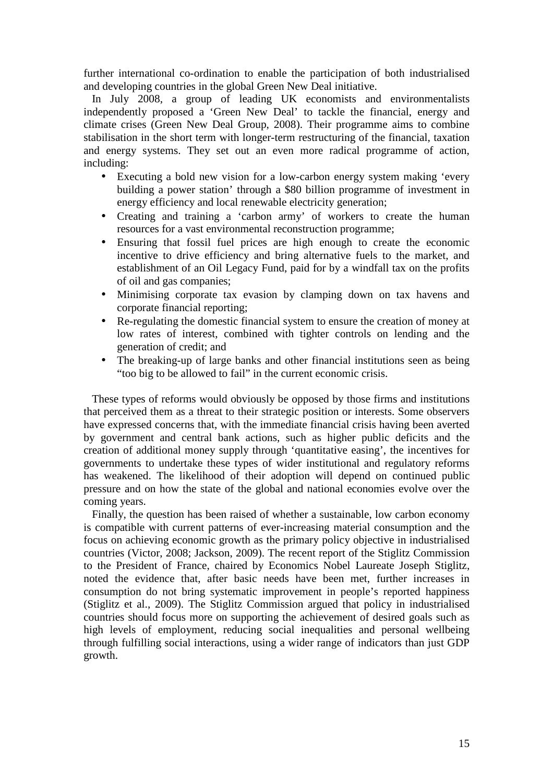further international co-ordination to enable the participation of both industrialised and developing countries in the global Green New Deal initiative.

In July 2008, a group of leading UK economists and environmentalists independently proposed a 'Green New Deal' to tackle the financial, energy and climate crises (Green New Deal Group, 2008). Their programme aims to combine stabilisation in the short term with longer-term restructuring of the financial, taxation and energy systems. They set out an even more radical programme of action, including:

- Executing a bold new vision for a low-carbon energy system making 'every building a power station' through a \$80 billion programme of investment in energy efficiency and local renewable electricity generation;
- Creating and training a 'carbon army' of workers to create the human resources for a vast environmental reconstruction programme;
- Ensuring that fossil fuel prices are high enough to create the economic incentive to drive efficiency and bring alternative fuels to the market, and establishment of an Oil Legacy Fund, paid for by a windfall tax on the profits of oil and gas companies;
- Minimising corporate tax evasion by clamping down on tax havens and corporate financial reporting;
- Re-regulating the domestic financial system to ensure the creation of money at low rates of interest, combined with tighter controls on lending and the generation of credit; and
- The breaking-up of large banks and other financial institutions seen as being "too big to be allowed to fail" in the current economic crisis.

These types of reforms would obviously be opposed by those firms and institutions that perceived them as a threat to their strategic position or interests. Some observers have expressed concerns that, with the immediate financial crisis having been averted by government and central bank actions, such as higher public deficits and the creation of additional money supply through 'quantitative easing', the incentives for governments to undertake these types of wider institutional and regulatory reforms has weakened. The likelihood of their adoption will depend on continued public pressure and on how the state of the global and national economies evolve over the coming years.

Finally, the question has been raised of whether a sustainable, low carbon economy is compatible with current patterns of ever-increasing material consumption and the focus on achieving economic growth as the primary policy objective in industrialised countries (Victor, 2008; Jackson, 2009). The recent report of the Stiglitz Commission to the President of France, chaired by Economics Nobel Laureate Joseph Stiglitz, noted the evidence that, after basic needs have been met, further increases in consumption do not bring systematic improvement in people's reported happiness (Stiglitz et al., 2009). The Stiglitz Commission argued that policy in industrialised countries should focus more on supporting the achievement of desired goals such as high levels of employment, reducing social inequalities and personal wellbeing through fulfilling social interactions, using a wider range of indicators than just GDP growth.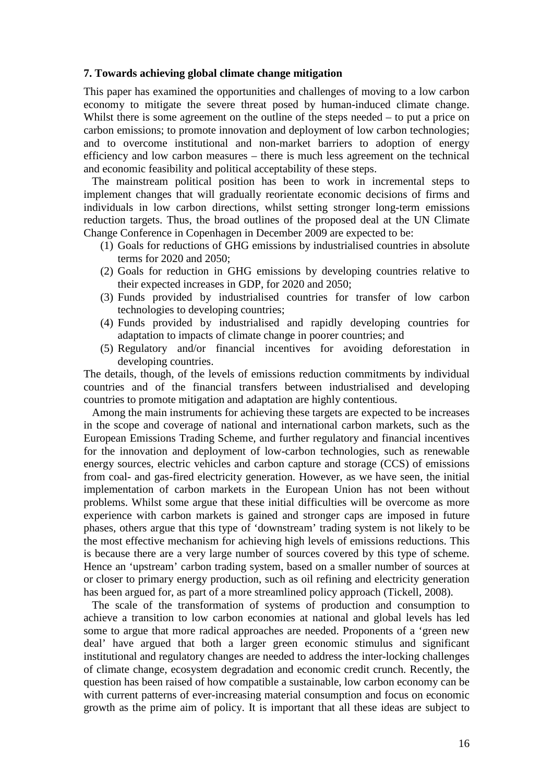#### **7. Towards achieving global climate change mitigation**

This paper has examined the opportunities and challenges of moving to a low carbon economy to mitigate the severe threat posed by human-induced climate change. Whilst there is some agreement on the outline of the steps needed – to put a price on carbon emissions; to promote innovation and deployment of low carbon technologies; and to overcome institutional and non-market barriers to adoption of energy efficiency and low carbon measures – there is much less agreement on the technical and economic feasibility and political acceptability of these steps.

The mainstream political position has been to work in incremental steps to implement changes that will gradually reorientate economic decisions of firms and individuals in low carbon directions, whilst setting stronger long-term emissions reduction targets. Thus, the broad outlines of the proposed deal at the UN Climate Change Conference in Copenhagen in December 2009 are expected to be:

- (1) Goals for reductions of GHG emissions by industrialised countries in absolute terms for 2020 and 2050;
- (2) Goals for reduction in GHG emissions by developing countries relative to their expected increases in GDP, for 2020 and 2050;
- (3) Funds provided by industrialised countries for transfer of low carbon technologies to developing countries;
- (4) Funds provided by industrialised and rapidly developing countries for adaptation to impacts of climate change in poorer countries; and
- (5) Regulatory and/or financial incentives for avoiding deforestation in developing countries.

The details, though, of the levels of emissions reduction commitments by individual countries and of the financial transfers between industrialised and developing countries to promote mitigation and adaptation are highly contentious.

Among the main instruments for achieving these targets are expected to be increases in the scope and coverage of national and international carbon markets, such as the European Emissions Trading Scheme, and further regulatory and financial incentives for the innovation and deployment of low-carbon technologies, such as renewable energy sources, electric vehicles and carbon capture and storage (CCS) of emissions from coal- and gas-fired electricity generation. However, as we have seen, the initial implementation of carbon markets in the European Union has not been without problems. Whilst some argue that these initial difficulties will be overcome as more experience with carbon markets is gained and stronger caps are imposed in future phases, others argue that this type of 'downstream' trading system is not likely to be the most effective mechanism for achieving high levels of emissions reductions. This is because there are a very large number of sources covered by this type of scheme. Hence an 'upstream' carbon trading system, based on a smaller number of sources at or closer to primary energy production, such as oil refining and electricity generation has been argued for, as part of a more streamlined policy approach (Tickell, 2008).

The scale of the transformation of systems of production and consumption to achieve a transition to low carbon economies at national and global levels has led some to argue that more radical approaches are needed. Proponents of a 'green new deal' have argued that both a larger green economic stimulus and significant institutional and regulatory changes are needed to address the inter-locking challenges of climate change, ecosystem degradation and economic credit crunch. Recently, the question has been raised of how compatible a sustainable, low carbon economy can be with current patterns of ever-increasing material consumption and focus on economic growth as the prime aim of policy. It is important that all these ideas are subject to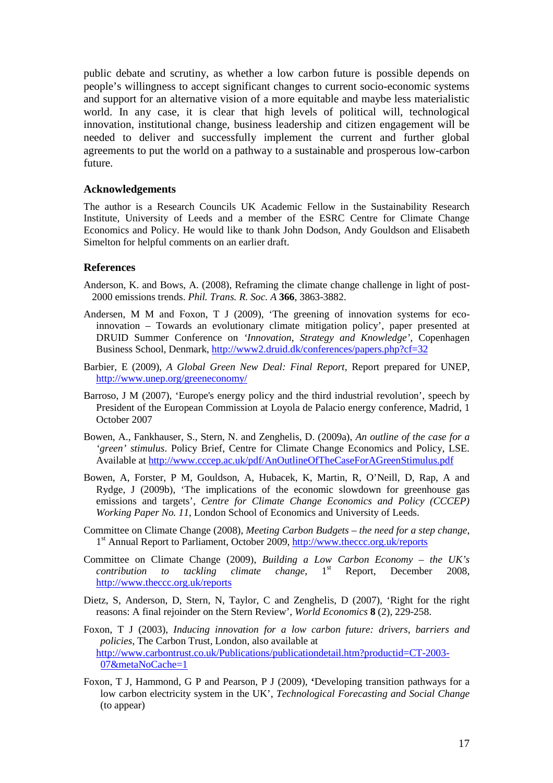public debate and scrutiny, as whether a low carbon future is possible depends on people's willingness to accept significant changes to current socio-economic systems and support for an alternative vision of a more equitable and maybe less materialistic world. In any case, it is clear that high levels of political will, technological innovation, institutional change, business leadership and citizen engagement will be needed to deliver and successfully implement the current and further global agreements to put the world on a pathway to a sustainable and prosperous low-carbon future.

#### **Acknowledgements**

The author is a Research Councils UK Academic Fellow in the Sustainability Research Institute, University of Leeds and a member of the ESRC Centre for Climate Change Economics and Policy. He would like to thank John Dodson, Andy Gouldson and Elisabeth Simelton for helpful comments on an earlier draft.

#### **References**

- Anderson, K. and Bows, A. (2008), Reframing the climate change challenge in light of post-2000 emissions trends. *Phil. Trans. R. Soc. A* **366**, 3863-3882.
- Andersen, M M and Foxon, T J (2009), 'The greening of innovation systems for ecoinnovation – Towards an evolutionary climate mitigation policy', paper presented at DRUID Summer Conference on *'Innovation, Strategy and Knowledge',* Copenhagen Business School, Denmark, http://www2.druid.dk/conferences/papers.php?cf=32
- Barbier, E (2009), *A Global Green New Deal: Final Report*, Report prepared for UNEP, http://www.unep.org/greeneconomy/
- Barroso, J M (2007), 'Europe's energy policy and the third industrial revolution', speech by President of the European Commission at Loyola de Palacio energy conference, Madrid, 1 October 2007
- Bowen, A., Fankhauser, S., Stern, N. and Zenghelis, D. (2009a), *An outline of the case for a 'green' stimulus*. Policy Brief, Centre for Climate Change Economics and Policy, LSE. Available at http://www.cccep.ac.uk/pdf/AnOutlineOfTheCaseForAGreenStimulus.pdf
- Bowen, A, Forster, P M, Gouldson, A, Hubacek, K, Martin, R, O'Neill, D, Rap, A and Rydge, J (2009b), 'The implications of the economic slowdown for greenhouse gas emissions and targets', *Centre for Climate Change Economics and Policy (CCCEP) Working Paper No. 11*, London School of Economics and University of Leeds.
- Committee on Climate Change (2008), *Meeting Carbon Budgets the need for a step change*, 1<sup>st</sup> Annual Report to Parliament, October 2009, http://www.theccc.org.uk/reports
- Committee on Climate Change (2009), *Building a Low Carbon Economy the UK's contribution to tackling climate change*, 1<sup>st</sup> Report, December 2008, http://www.theccc.org.uk/reports
- Dietz, S, Anderson, D, Stern, N, Taylor, C and Zenghelis, D (2007), 'Right for the right reasons: A final rejoinder on the Stern Review', *World Economics* **8** (2), 229-258.
- Foxon, T J (2003), *Inducing innovation for a low carbon future: drivers, barriers and policies*, The Carbon Trust, London, also available at http://www.carbontrust.co.uk/Publications/publicationdetail.htm?productid=CT-2003- 07&metaNoCache=1
- Foxon, T J, Hammond, G P and Pearson, P J (2009), **'**Developing transition pathways for a low carbon electricity system in the UK', *Technological Forecasting and Social Change* (to appear)